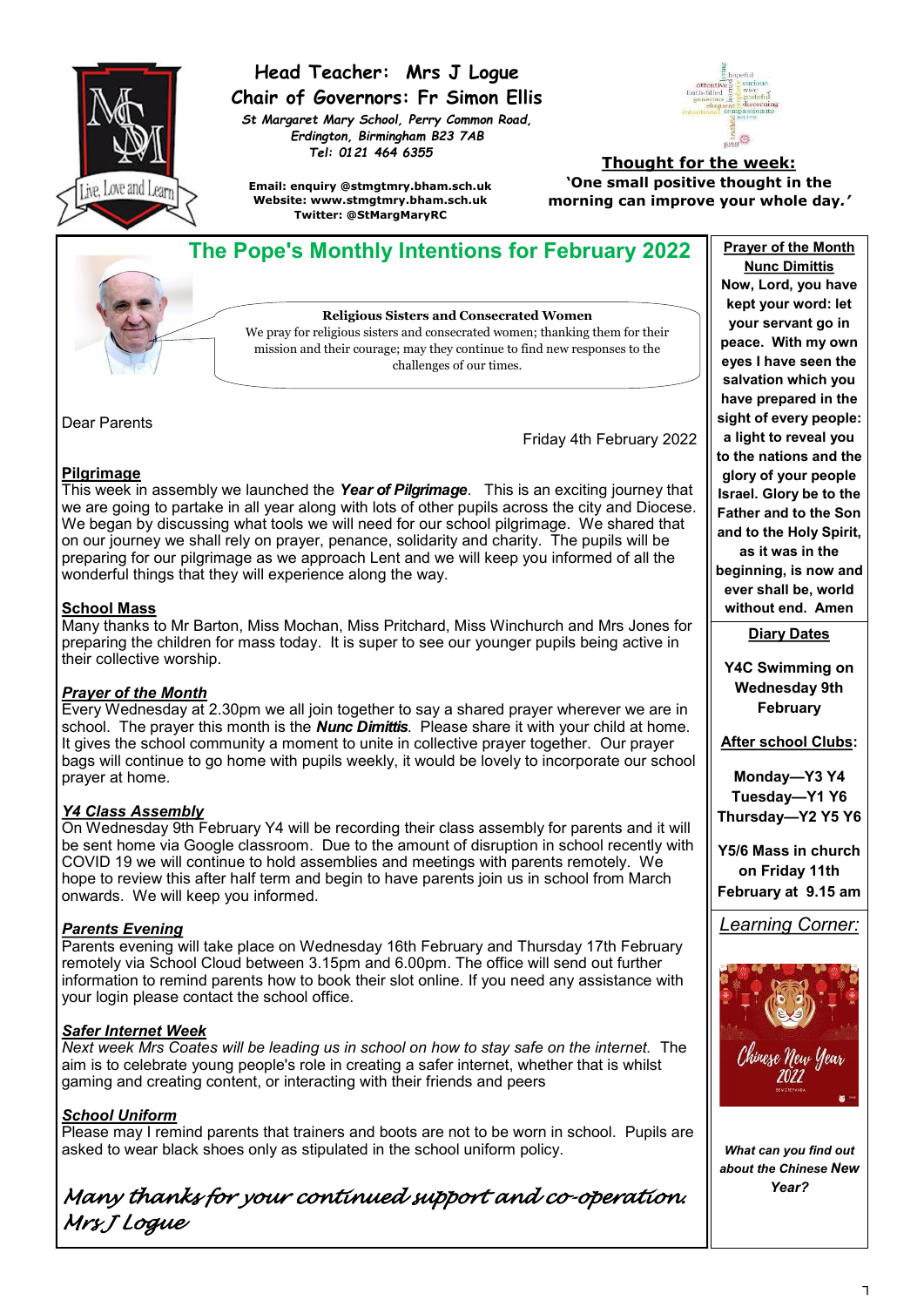

# **Head Teacher: Mrs J Logue Chair of Governors: Fr Simon Ellis**

*St Margaret Mary School, Perry Common Road, Erdington, Birmingham B23 7AB Tel: 0121 464 6355*



**Email: enquiry @stmgtmry.bham.sch.uk Website: www.stmgtmry.bham.sch.uk Twitter: @StMargMaryRC**

#### **Thought for the week: 'One small positive thought in the morning can improve your whole day***.'*



Dear Parents

Friday 4th February 2022

### **Pilgrimage**

This week in assembly we launched the *Year of Pilgrimage*. This is an exciting journey that we are going to partake in all year along with lots of other pupils across the city and Diocese. We began by discussing what tools we will need for our school pilgrimage. We shared that on our journey we shall rely on prayer, penance, solidarity and charity. The pupils will be preparing for our pilgrimage as we approach Lent and we will keep you informed of all the wonderful things that they will experience along the way.

#### **School Mass**

Many thanks to Mr Barton, Miss Mochan, Miss Pritchard, Miss Winchurch and Mrs Jones for preparing the children for mass today. It is super to see our younger pupils being active in their collective worship.

#### *Prayer of the Month*

Every Wednesday at 2.30pm we all join together to say a shared prayer wherever we are in school. The prayer this month is the *Nunc Dimittis*. Please share it with your child at home. It gives the school community a moment to unite in collective prayer together. Our prayer bags will continue to go home with pupils weekly, it would be lovely to incorporate our school prayer at home.

#### *Y4 Class Assembly*

On Wednesday 9th February Y4 will be recording their class assembly for parents and it will be sent home via Google classroom. Due to the amount of disruption in school recently with COVID 19 we will continue to hold assemblies and meetings with parents remotely. We hope to review this after half term and begin to have parents join us in school from March onwards. We will keep you informed.

#### *Parents Evening*

Parents evening will take place on Wednesday 16th February and Thursday 17th February remotely via School Cloud between 3.15pm and 6.00pm. The office will send out further information to remind parents how to book their slot online. If you need any assistance with your login please contact the school office.

# *Safer Internet Week*

*Next week Mrs Coates will be leading us in school on how to stay safe on the internet.* The aim is to celebrate young people's role in creating a safer internet, whether that is whilst gaming and creating content, or interacting with their friends and peers

#### *School Uniform*

Please may I remind parents that trainers and boots are not to be worn in school. Pupils are asked to wear black shoes only as stipulated in the school uniform policy.

*Many thanks for your continued support and co-operation. Mrs J Logue* 

**Nunc Dimittis Now, Lord, you have kept your word: let your servant go in peace. With my own eyes I have seen the salvation which you have prepared in the sight of every people: a light to reveal you to the nations and the glory of your people Israel. Glory be to the Father and to the Son and to the Holy Spirit, as it was in the beginning, is now and ever shall be, world** 

**without end. Amen Diary Dates**

**Y4C Swimming on Wednesday 9th February**

**After school Clubs:**

**Monday—Y3 Y4 Tuesday—Y1 Y6 Thursday—Y2 Y5 Y6**

**Y5/6 Mass in church on Friday 11th February at 9.15 am**

*Learning Corner:*



*What can you find out about the Chinese New Year?*